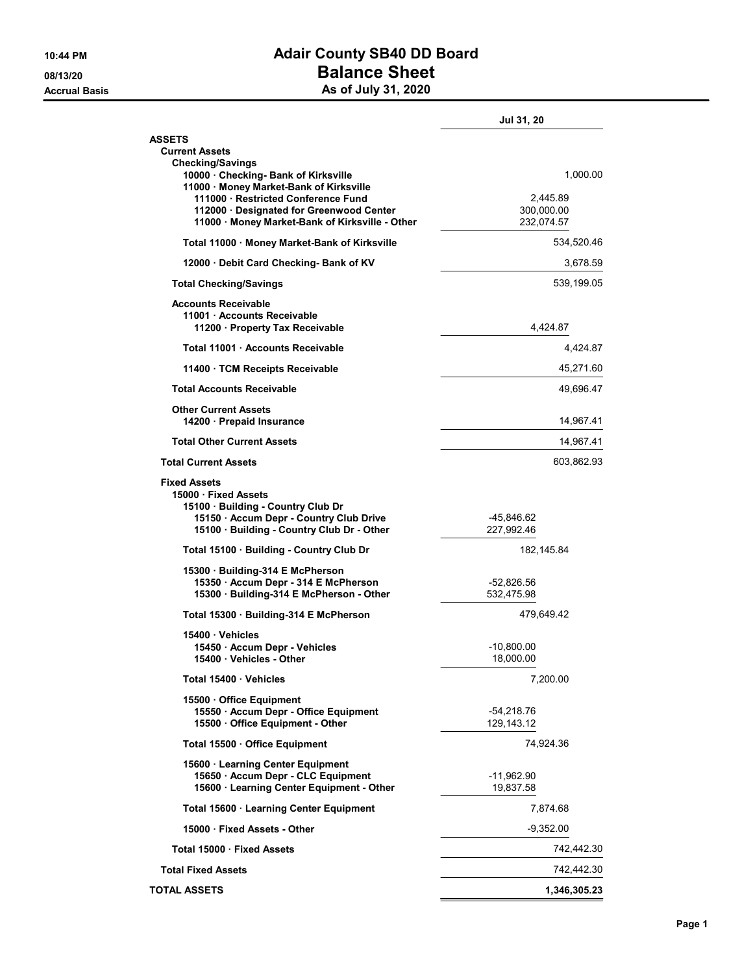## 10:44 PM **Adair County SB40 DD Board** 08/13/20 **Balance Sheet** Accrual Basis **Accrual Basis** As of July 31, 2020

|                                                                                                                                                                        | <b>Jul 31, 20</b>          |                          |
|------------------------------------------------------------------------------------------------------------------------------------------------------------------------|----------------------------|--------------------------|
| <b>ASSETS</b><br><b>Current Assets</b><br><b>Checking/Savings</b>                                                                                                      |                            |                          |
| 10000 Checking- Bank of Kirksville<br>11000 · Money Market-Bank of Kirksville<br>111000 Restricted Conference Fund                                                     |                            | 1,000.00<br>2,445.89     |
| 112000 · Designated for Greenwood Center<br>11000 · Money Market-Bank of Kirksville - Other                                                                            |                            | 300,000.00<br>232,074.57 |
| Total 11000 · Money Market-Bank of Kirksville                                                                                                                          | 534,520.46                 |                          |
| 12000 Debit Card Checking- Bank of KV                                                                                                                                  | 3,678.59                   |                          |
| <b>Total Checking/Savings</b>                                                                                                                                          | 539,199.05                 |                          |
| <b>Accounts Receivable</b><br>11001 · Accounts Receivable<br>11200 Property Tax Receivable                                                                             | 4,424.87                   |                          |
| Total 11001 Accounts Receivable                                                                                                                                        | 4,424.87                   |                          |
| 11400 TCM Receipts Receivable                                                                                                                                          | 45,271.60                  |                          |
| <b>Total Accounts Receivable</b>                                                                                                                                       |                            | 49,696.47                |
| <b>Other Current Assets</b><br>14200 Prepaid Insurance                                                                                                                 | 14,967.41                  |                          |
| <b>Total Other Current Assets</b>                                                                                                                                      | 14,967.41                  |                          |
| <b>Total Current Assets</b>                                                                                                                                            | 603,862.93                 |                          |
| <b>Fixed Assets</b><br>15000 Fixed Assets<br>15100 Building - Country Club Dr<br>15150 · Accum Depr - Country Club Drive<br>15100 · Building - Country Club Dr - Other | -45,846.62<br>227,992.46   |                          |
| Total 15100 · Building - Country Club Dr                                                                                                                               | 182, 145.84                |                          |
| 15300 Building-314 E McPherson<br>15350 · Accum Depr - 314 E McPherson<br>15300 · Building-314 E McPherson - Other                                                     | -52,826.56<br>532,475.98   |                          |
| Total 15300 Building-314 E McPherson                                                                                                                                   | 479,649.42                 |                          |
| 15400 Vehicles<br>15450 Accum Depr - Vehicles<br>15400 Vehicles - Other                                                                                                | $-10,800.00$<br>18,000.00  |                          |
| Total 15400 Vehicles                                                                                                                                                   | 7,200.00                   |                          |
| 15500 Office Equipment<br>15550 · Accum Depr - Office Equipment<br>15500 · Office Equipment - Other                                                                    | $-54,218.76$<br>129,143.12 |                          |
| Total 15500 Office Equipment                                                                                                                                           | 74,924.36                  |                          |
| 15600 · Learning Center Equipment                                                                                                                                      |                            |                          |
| 15650 · Accum Depr - CLC Equipment<br>15600 · Learning Center Equipment - Other                                                                                        | -11,962.90<br>19,837.58    |                          |
| Total 15600 · Learning Center Equipment                                                                                                                                | 7,874.68                   |                          |
| 15000 Fixed Assets - Other                                                                                                                                             | $-9,352.00$                |                          |
| Total 15000 · Fixed Assets                                                                                                                                             | 742,442.30                 |                          |
| <b>Total Fixed Assets</b>                                                                                                                                              | 742,442.30                 |                          |
| <b>TOTAL ASSETS</b>                                                                                                                                                    | 1,346,305.23               |                          |